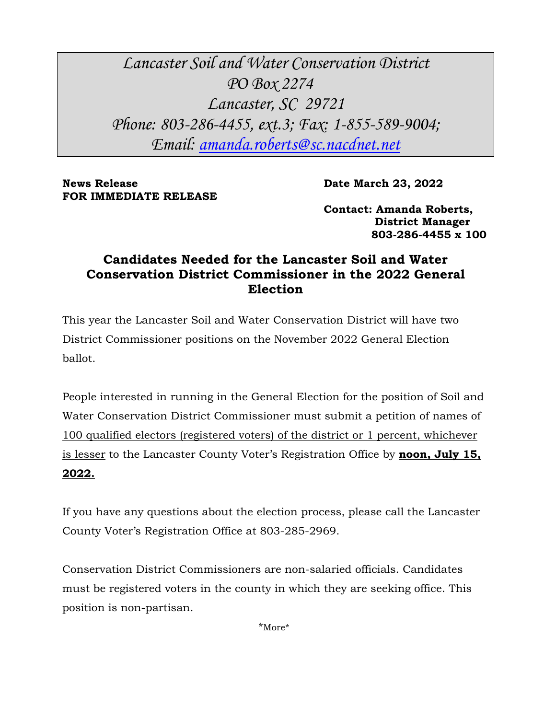*Lancaster Soil and Water Conservation District PO Box 2274 Lancaster, SC 29721 Phone: 803-286-4455, ext.3; Fax: 1-855-589-9004; Email: [amanda.roberts@sc.nacdnet.net](mailto:amanda.roberts@sc.nacdnet.net)*

**News Release Date March 23, 2022 FOR IMMEDIATE RELEASE**

**Contact: Amanda Roberts, District Manager 803-286-4455 x 100**

## **Candidates Needed for the Lancaster Soil and Water Conservation District Commissioner in the 2022 General Election**

This year the Lancaster Soil and Water Conservation District will have two District Commissioner positions on the November 2022 General Election ballot.

People interested in running in the General Election for the position of Soil and Water Conservation District Commissioner must submit a petition of names of 100 qualified electors (registered voters) of the district or 1 percent, whichever is lesser to the Lancaster County Voter's Registration Office by **noon, July 15, 2022.** 

If you have any questions about the election process, please call the Lancaster County Voter's Registration Office at 803-285-2969.

Conservation District Commissioners are non-salaried officials. Candidates must be registered voters in the county in which they are seeking office. This position is non-partisan.

\*More\*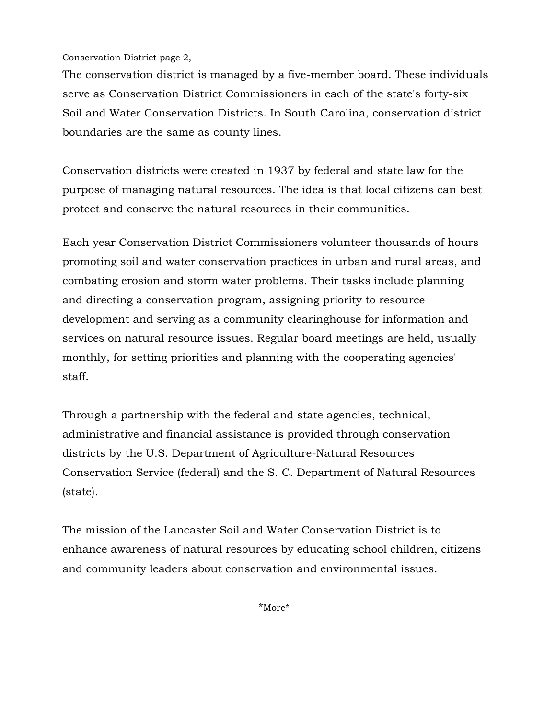Conservation District page 2,

The conservation district is managed by a five-member board. These individuals serve as Conservation District Commissioners in each of the state's forty-six Soil and Water Conservation Districts. In South Carolina, conservation district boundaries are the same as county lines.

Conservation districts were created in 1937 by federal and state law for the purpose of managing natural resources. The idea is that local citizens can best protect and conserve the natural resources in their communities.

Each year Conservation District Commissioners volunteer thousands of hours promoting soil and water conservation practices in urban and rural areas, and combating erosion and storm water problems. Their tasks include planning and directing a conservation program, assigning priority to resource development and serving as a community clearinghouse for information and services on natural resource issues. Regular board meetings are held, usually monthly, for setting priorities and planning with the cooperating agencies' staff.

Through a partnership with the federal and state agencies, technical, administrative and financial assistance is provided through conservation districts by the U.S. Department of Agriculture-Natural Resources Conservation Service (federal) and the S. C. Department of Natural Resources (state).

The mission of the Lancaster Soil and Water Conservation District is to enhance awareness of natural resources by educating school children, citizens and community leaders about conservation and environmental issues.

\*More\*